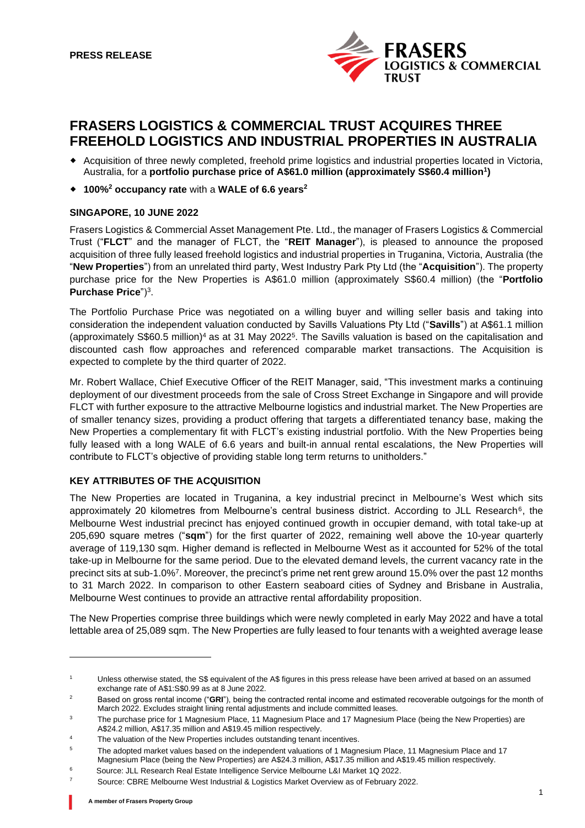

# **FRASERS LOGISTICS & COMMERCIAL TRUST ACQUIRES THREE FREEHOLD LOGISTICS AND INDUSTRIAL PROPERTIES IN AUSTRALIA**

- Acquisition of three newly completed, freehold prime logistics and industrial properties located in Victoria, Australia, for a **portfolio purchase price of A\$61.0 million (approximately S\$60.4 million 1 )**
- **100%<sup>2</sup> occupancy rate** with a **WALE of 6.6 years<sup>2</sup>**

# **SINGAPORE, 10 JUNE 2022**

Frasers Logistics & Commercial Asset Management Pte. Ltd., the manager of Frasers Logistics & Commercial Trust ("**FLCT**" and the manager of FLCT, the "**REIT Manager**"), is pleased to announce the proposed acquisition of three fully leased freehold logistics and industrial properties in Truganina, Victoria, Australia (the "**New Properties**") from an unrelated third party, West Industry Park Pty Ltd (the "**Acquisition**"). The property purchase price for the New Properties is A\$61.0 million (approximately S\$60.4 million) (the "**Portfolio Purchase Price**")<sup>3</sup> .

The Portfolio Purchase Price was negotiated on a willing buyer and willing seller basis and taking into consideration the independent valuation conducted by Savills Valuations Pty Ltd ("**Savills**") at A\$61.1 million (approximately S\$60.5 million)<sup>4</sup> as at 31 May 2022<sup>5</sup>. The Savills valuation is based on the capitalisation and discounted cash flow approaches and referenced comparable market transactions. The Acquisition is expected to complete by the third quarter of 2022.

Mr. Robert Wallace, Chief Executive Officer of the REIT Manager, said, "This investment marks a continuing deployment of our divestment proceeds from the sale of Cross Street Exchange in Singapore and will provide FLCT with further exposure to the attractive Melbourne logistics and industrial market. The New Properties are of smaller tenancy sizes, providing a product offering that targets a differentiated tenancy base, making the New Properties a complementary fit with FLCT's existing industrial portfolio. With the New Properties being fully leased with a long WALE of 6.6 years and built-in annual rental escalations, the New Properties will contribute to FLCT's objective of providing stable long term returns to unitholders."

# **KEY ATTRIBUTES OF THE ACQUISITION**

The New Properties are located in Truganina, a key industrial precinct in Melbourne's West which sits approximately 20 kilometres from Melbourne's central business district. According to JLL Research<sup>6</sup>, the Melbourne West industrial precinct has enjoyed continued growth in occupier demand, with total take-up at 205,690 square metres ("**sqm**") for the first quarter of 2022, remaining well above the 10-year quarterly average of 119,130 sqm. Higher demand is reflected in Melbourne West as it accounted for 52% of the total take-up in Melbourne for the same period. Due to the elevated demand levels, the current vacancy rate in the precinct sits at sub-1.0%<sup>7</sup>. Moreover, the precinct's prime net rent grew around 15.0% over the past 12 months to 31 March 2022. In comparison to other Eastern seaboard cities of Sydney and Brisbane in Australia, Melbourne West continues to provide an attractive rental affordability proposition.

The New Properties comprise three buildings which were newly completed in early May 2022 and have a total lettable area of 25,089 sqm. The New Properties are fully leased to four tenants with a weighted average lease

The valuation of the New Properties includes outstanding tenant incentives.

<sup>1</sup> Unless otherwise stated, the S\$ equivalent of the A\$ figures in this press release have been arrived at based on an assumed exchange rate of A\$1:S\$0.99 as at 8 June 2022.

<sup>&</sup>lt;sup>2</sup> Based on gross rental income ("GRI"), being the contracted rental income and estimated recoverable outgoings for the month of March 2022. Excludes straight lining rental adjustments and include committed leases.

<sup>&</sup>lt;sup>3</sup> The purchase price for 1 Magnesium Place, 11 Magnesium Place and 17 Magnesium Place (being the New Properties) are A\$24.2 million, A\$17.35 million and A\$19.45 million respectively.

<sup>&</sup>lt;sup>5</sup> The adopted market values based on the independent valuations of 1 Magnesium Place, 11 Magnesium Place and 17

Magnesium Place (being the New Properties) are A\$24.3 million, A\$17.35 million and A\$19.45 million respectively.

<sup>6</sup> Source: JLL Research Real Estate Intelligence Service Melbourne L&I Market 1Q 2022.

<sup>7</sup> Source: CBRE Melbourne West Industrial & Logistics Market Overview as of February 2022.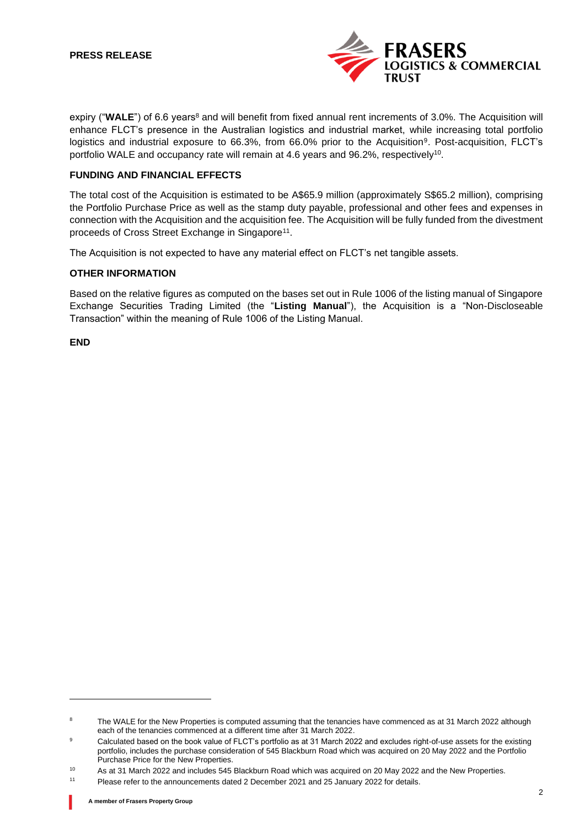

expiry ("WALE") of 6.6 years<sup>8</sup> and will benefit from fixed annual rent increments of 3.0%. The Acquisition will enhance FLCT's presence in the Australian logistics and industrial market, while increasing total portfolio logistics and industrial exposure to 66.3%, from 66.0% prior to the Acquisition<sup>9</sup>. Post-acquisition, FLCT's portfolio WALE and occupancy rate will remain at 4.6 years and 96.2%, respectively<sup>10</sup>.

## **FUNDING AND FINANCIAL EFFECTS**

The total cost of the Acquisition is estimated to be A\$65.9 million (approximately S\$65.2 million), comprising the Portfolio Purchase Price as well as the stamp duty payable, professional and other fees and expenses in connection with the Acquisition and the acquisition fee. The Acquisition will be fully funded from the divestment proceeds of Cross Street Exchange in Singapore<sup>11</sup>.

The Acquisition is not expected to have any material effect on FLCT's net tangible assets.

## **OTHER INFORMATION**

Based on the relative figures as computed on the bases set out in Rule 1006 of the listing manual of Singapore Exchange Securities Trading Limited (the "**Listing Manual**"), the Acquisition is a "Non-Discloseable Transaction" within the meaning of Rule 1006 of the Listing Manual.

**END**

<sup>&</sup>lt;sup>8</sup> The WALE for the New Properties is computed assuming that the tenancies have commenced as at 31 March 2022 although each of the tenancies commenced at a different time after 31 March 2022.

<sup>&</sup>lt;sup>9</sup> Calculated based on the book value of FLCT's portfolio as at 31 March 2022 and excludes right-of-use assets for the existing portfolio, includes the purchase consideration of 545 Blackburn Road which was acquired on 20 May 2022 and the Portfolio Purchase Price for the New Properties.

<sup>&</sup>lt;sup>10</sup> As at 31 March 2022 and includes 545 Blackburn Road which was acquired on 20 May 2022 and the New Properties.

<sup>11</sup> Please refer to the announcements dated 2 December 2021 and 25 January 2022 for details.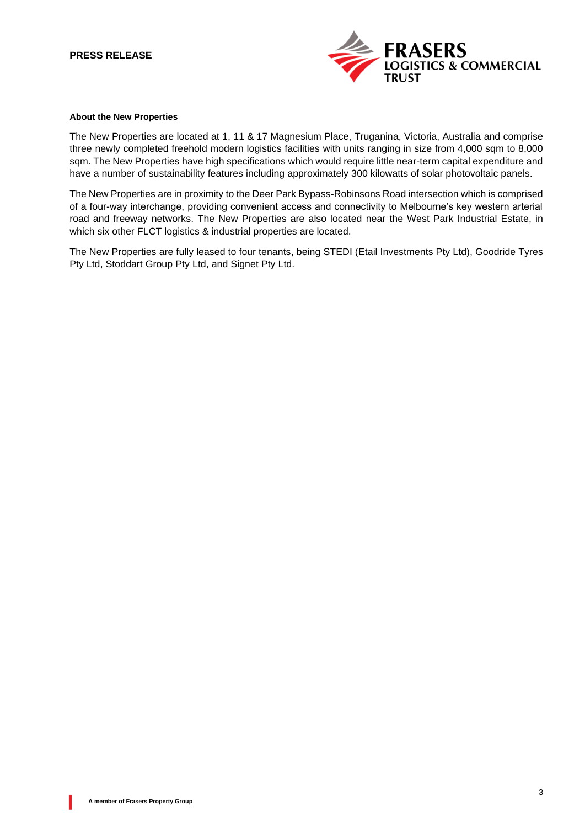

#### **About the New Properties**

The New Properties are located at 1, 11 & 17 Magnesium Place, Truganina, Victoria, Australia and comprise three newly completed freehold modern logistics facilities with units ranging in size from 4,000 sqm to 8,000 sqm. The New Properties have high specifications which would require little near-term capital expenditure and have a number of sustainability features including approximately 300 kilowatts of solar photovoltaic panels.

The New Properties are in proximity to the Deer Park Bypass-Robinsons Road intersection which is comprised of a four-way interchange, providing convenient access and connectivity to Melbourne's key western arterial road and freeway networks. The New Properties are also located near the West Park Industrial Estate, in which six other FLCT logistics & industrial properties are located.

The New Properties are fully leased to four tenants, being STEDI (Etail Investments Pty Ltd), Goodride Tyres Pty Ltd, Stoddart Group Pty Ltd, and Signet Pty Ltd.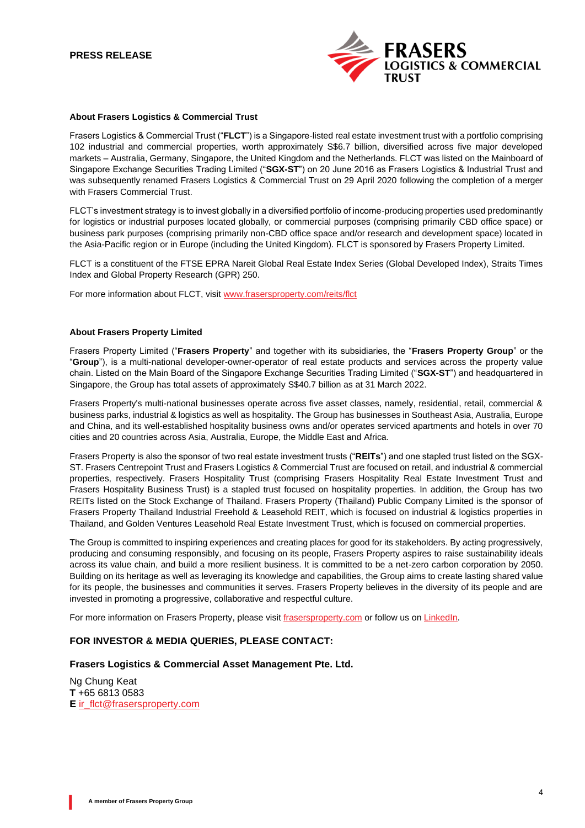

#### **About Frasers Logistics & Commercial Trust**

Frasers Logistics & Commercial Trust ("**FLCT**") is a Singapore-listed real estate investment trust with a portfolio comprising 102 industrial and commercial properties, worth approximately S\$6.7 billion, diversified across five major developed markets – Australia, Germany, Singapore, the United Kingdom and the Netherlands. FLCT was listed on the Mainboard of Singapore Exchange Securities Trading Limited ("**SGX-ST**") on 20 June 2016 as Frasers Logistics & Industrial Trust and was subsequently renamed Frasers Logistics & Commercial Trust on 29 April 2020 following the completion of a merger with Frasers Commercial Trust.

FLCT's investment strategy is to invest globally in a diversified portfolio of income-producing properties used predominantly for logistics or industrial purposes located globally, or commercial purposes (comprising primarily CBD office space) or business park purposes (comprising primarily non-CBD office space and/or research and development space) located in the Asia-Pacific region or in Europe (including the United Kingdom). FLCT is sponsored by Frasers Property Limited.

FLCT is a constituent of the FTSE EPRA Nareit Global Real Estate Index Series (Global Developed Index), Straits Times Index and Global Property Research (GPR) 250.

For more information about FLCT, visit [www.frasersproperty.com/reits/flct](http://www.frasersproperty.com/reits/flct)

#### **About Frasers Property Limited**

Frasers Property Limited ("**Frasers Property**" and together with its subsidiaries, the "**Frasers Property Group**" or the "**Group**"), is a multi-national developer-owner-operator of real estate products and services across the property value chain. Listed on the Main Board of the Singapore Exchange Securities Trading Limited ("**SGX-ST**") and headquartered in Singapore, the Group has total assets of approximately S\$40.7 billion as at 31 March 2022.

Frasers Property's multi-national businesses operate across five asset classes, namely, residential, retail, commercial & business parks, industrial & logistics as well as hospitality. The Group has businesses in Southeast Asia, Australia, Europe and China, and its well-established hospitality business owns and/or operates serviced apartments and hotels in over 70 cities and 20 countries across Asia, Australia, Europe, the Middle East and Africa.

Frasers Property is also the sponsor of two real estate investment trusts ("**REITs**") and one stapled trust listed on the SGX-ST. Frasers Centrepoint Trust and Frasers Logistics & Commercial Trust are focused on retail, and industrial & commercial properties, respectively. Frasers Hospitality Trust (comprising Frasers Hospitality Real Estate Investment Trust and Frasers Hospitality Business Trust) is a stapled trust focused on hospitality properties. In addition, the Group has two REITs listed on the Stock Exchange of Thailand. Frasers Property (Thailand) Public Company Limited is the sponsor of Frasers Property Thailand Industrial Freehold & Leasehold REIT, which is focused on industrial & logistics properties in Thailand, and Golden Ventures Leasehold Real Estate Investment Trust, which is focused on commercial properties.

The Group is committed to inspiring experiences and creating places for good for its stakeholders. By acting progressively, producing and consuming responsibly, and focusing on its people, Frasers Property aspires to raise sustainability ideals across its value chain, and build a more resilient business. It is committed to be a net-zero carbon corporation by 2050. Building on its heritage as well as leveraging its knowledge and capabilities, the Group aims to create lasting shared value for its people, the businesses and communities it serves. Frasers Property believes in the diversity of its people and are invested in promoting a progressive, collaborative and respectful culture.

For more information on Frasers Property, please visi[t frasersproperty.com](https://frasersproperty.com/) or follow us o[n LinkedIn.](https://www.linkedin.com/company/frasers-property-limited/)

# **FOR INVESTOR & MEDIA QUERIES, PLEASE CONTACT:**

#### **Frasers Logistics & Commercial Asset Management Pte. Ltd.**

Ng Chung Keat **T** +65 6813 0583 **E** [ir\\_flct@frasersproperty.com](mailto:ir_flct@frasersproperty.com)